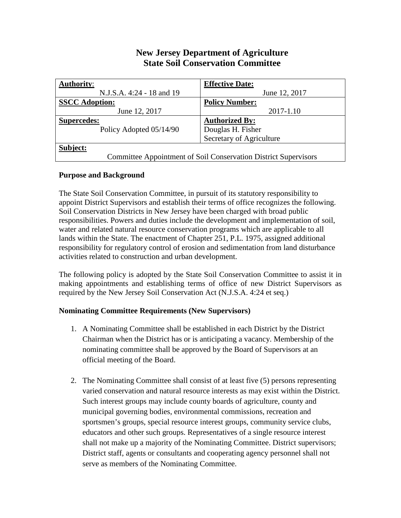# **New Jersey Department of Agriculture State Soil Conservation Committee**

| <b>Authority:</b>                                               | <b>Effective Date:</b>   |
|-----------------------------------------------------------------|--------------------------|
| N.J.S.A. 4:24 - 18 and 19                                       | June 12, 2017            |
| <b>SSCC</b> Adoption:                                           | <b>Policy Number:</b>    |
| June 12, 2017                                                   | 2017-1.10                |
| <b>Supercedes:</b>                                              | <b>Authorized By:</b>    |
| Policy Adopted 05/14/90                                         | Douglas H. Fisher        |
|                                                                 | Secretary of Agriculture |
| Subject:                                                        |                          |
| Committee Appointment of Soil Conservation District Supervisors |                          |

# **Purpose and Background**

The State Soil Conservation Committee, in pursuit of its statutory responsibility to appoint District Supervisors and establish their terms of office recognizes the following. Soil Conservation Districts in New Jersey have been charged with broad public responsibilities. Powers and duties include the development and implementation of soil, water and related natural resource conservation programs which are applicable to all lands within the State. The enactment of Chapter 251, P.L. 1975, assigned additional responsibility for regulatory control of erosion and sedimentation from land disturbance activities related to construction and urban development.

The following policy is adopted by the State Soil Conservation Committee to assist it in making appointments and establishing terms of office of new District Supervisors as required by the New Jersey Soil Conservation Act (N.J.S.A. 4:24 et seq.)

# **Nominating Committee Requirements (New Supervisors)**

- 1. A Nominating Committee shall be established in each District by the District Chairman when the District has or is anticipating a vacancy. Membership of the nominating committee shall be approved by the Board of Supervisors at an official meeting of the Board.
- 2. The Nominating Committee shall consist of at least five (5) persons representing varied conservation and natural resource interests as may exist within the District. Such interest groups may include county boards of agriculture, county and municipal governing bodies, environmental commissions, recreation and sportsmen's groups, special resource interest groups, community service clubs, educators and other such groups. Representatives of a single resource interest shall not make up a majority of the Nominating Committee. District supervisors; District staff, agents or consultants and cooperating agency personnel shall not serve as members of the Nominating Committee.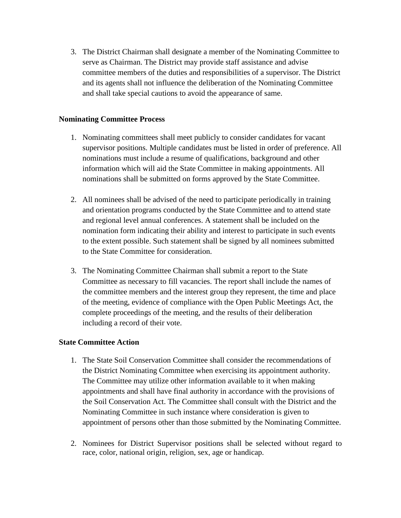3. The District Chairman shall designate a member of the Nominating Committee to serve as Chairman. The District may provide staff assistance and advise committee members of the duties and responsibilities of a supervisor. The District and its agents shall not influence the deliberation of the Nominating Committee and shall take special cautions to avoid the appearance of same.

## **Nominating Committee Process**

- 1. Nominating committees shall meet publicly to consider candidates for vacant supervisor positions. Multiple candidates must be listed in order of preference. All nominations must include a resume of qualifications, background and other information which will aid the State Committee in making appointments. All nominations shall be submitted on forms approved by the State Committee.
- 2. All nominees shall be advised of the need to participate periodically in training and orientation programs conducted by the State Committee and to attend state and regional level annual conferences. A statement shall be included on the nomination form indicating their ability and interest to participate in such events to the extent possible. Such statement shall be signed by all nominees submitted to the State Committee for consideration.
- 3. The Nominating Committee Chairman shall submit a report to the State Committee as necessary to fill vacancies. The report shall include the names of the committee members and the interest group they represent, the time and place of the meeting, evidence of compliance with the Open Public Meetings Act, the complete proceedings of the meeting, and the results of their deliberation including a record of their vote.

#### **State Committee Action**

- 1. The State Soil Conservation Committee shall consider the recommendations of the District Nominating Committee when exercising its appointment authority. The Committee may utilize other information available to it when making appointments and shall have final authority in accordance with the provisions of the Soil Conservation Act. The Committee shall consult with the District and the Nominating Committee in such instance where consideration is given to appointment of persons other than those submitted by the Nominating Committee.
- 2. Nominees for District Supervisor positions shall be selected without regard to race, color, national origin, religion, sex, age or handicap.